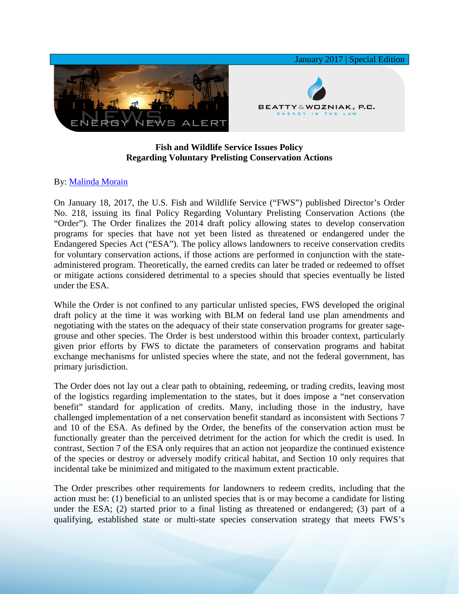

## **Fish and Wildlife Service Issues Policy Regarding Voluntary Prelisting Conservation Actions**

## By: [Malinda Morain](http://www.bwenergylaw.com/malinda-morain)

On January 18, 2017, the U.S. Fish and Wildlife Service ("FWS") published Director's Order No. 218, issuing its final Policy Regarding Voluntary Prelisting Conservation Actions (the "Order"). The Order finalizes the 2014 draft policy allowing states to develop conservation programs for species that have not yet been listed as threatened or endangered under the Endangered Species Act ("ESA"). The policy allows landowners to receive conservation credits for voluntary conservation actions, if those actions are performed in conjunction with the stateadministered program. Theoretically, the earned credits can later be traded or redeemed to offset or mitigate actions considered detrimental to a species should that species eventually be listed under the ESA.

While the Order is not confined to any particular unlisted species, FWS developed the original draft policy at the time it was working with BLM on federal land use plan amendments and negotiating with the states on the adequacy of their state conservation programs for greater sagegrouse and other species. The Order is best understood within this broader context, particularly given prior efforts by FWS to dictate the parameters of conservation programs and habitat exchange mechanisms for unlisted species where the state, and not the federal government, has primary jurisdiction.

The Order does not lay out a clear path to obtaining, redeeming, or trading credits, leaving most of the logistics regarding implementation to the states, but it does impose a "net conservation benefit" standard for application of credits. Many, including those in the industry, have challenged implementation of a net conservation benefit standard as inconsistent with Sections 7 and 10 of the ESA. As defined by the Order, the benefits of the conservation action must be functionally greater than the perceived detriment for the action for which the credit is used. In contrast, Section 7 of the ESA only requires that an action not jeopardize the continued existence of the species or destroy or adversely modify critical habitat, and Section 10 only requires that incidental take be minimized and mitigated to the maximum extent practicable.

The Order prescribes other requirements for landowners to redeem credits, including that the action must be: (1) beneficial to an unlisted species that is or may become a candidate for listing under the ESA; (2) started prior to a final listing as threatened or endangered; (3) part of a qualifying, established state or multi-state species conservation strategy that meets FWS's